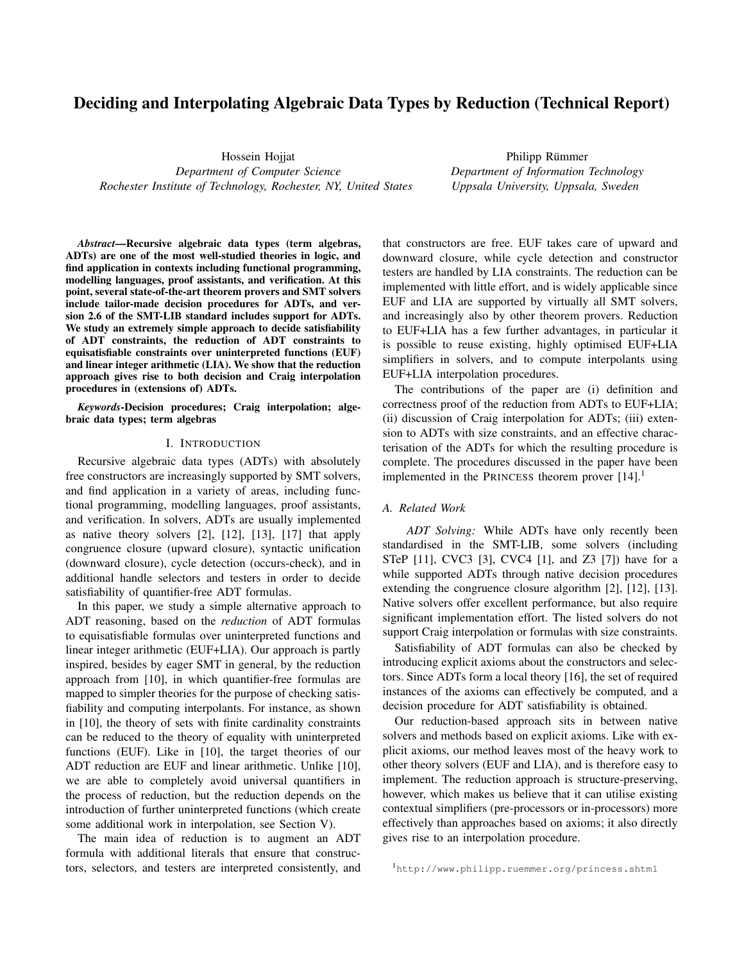# Deciding and Interpolating Algebraic Data Types by Reduction (Technical Report)

Hossein Hojjat

*Department of Computer Science Rochester Institute of Technology, Rochester, NY, United States*

Philipp Rümmer *Department of Information Technology Uppsala University, Uppsala, Sweden*

*Abstract*—Recursive algebraic data types (term algebras, ADTs) are one of the most well-studied theories in logic, and find application in contexts including functional programming, modelling languages, proof assistants, and verification. At this point, several state-of-the-art theorem provers and SMT solvers include tailor-made decision procedures for ADTs, and version 2.6 of the SMT-LIB standard includes support for ADTs. We study an extremely simple approach to decide satisfiability of ADT constraints, the reduction of ADT constraints to equisatisfiable constraints over uninterpreted functions (EUF) and linear integer arithmetic (LIA). We show that the reduction approach gives rise to both decision and Craig interpolation procedures in (extensions of) ADTs.

*Keywords*-Decision procedures; Craig interpolation; algebraic data types; term algebras

## I. INTRODUCTION

Recursive algebraic data types (ADTs) with absolutely free constructors are increasingly supported by SMT solvers, and find application in a variety of areas, including functional programming, modelling languages, proof assistants, and verification. In solvers, ADTs are usually implemented as native theory solvers [\[2\]](#page-9-0), [\[12\]](#page-9-1), [\[13\]](#page-9-2), [\[17\]](#page-9-3) that apply congruence closure (upward closure), syntactic unification (downward closure), cycle detection (occurs-check), and in additional handle selectors and testers in order to decide satisfiability of quantifier-free ADT formulas.

In this paper, we study a simple alternative approach to ADT reasoning, based on the *reduction* of ADT formulas to equisatisfiable formulas over uninterpreted functions and linear integer arithmetic (EUF+LIA). Our approach is partly inspired, besides by eager SMT in general, by the reduction approach from [\[10\]](#page-9-4), in which quantifier-free formulas are mapped to simpler theories for the purpose of checking satisfiability and computing interpolants. For instance, as shown in [\[10\]](#page-9-4), the theory of sets with finite cardinality constraints can be reduced to the theory of equality with uninterpreted functions (EUF). Like in [\[10\]](#page-9-4), the target theories of our ADT reduction are EUF and linear arithmetic. Unlike [\[10\]](#page-9-4), we are able to completely avoid universal quantifiers in the process of reduction, but the reduction depends on the introduction of further uninterpreted functions (which create some additional work in interpolation, see Section [V\)](#page-5-0).

The main idea of reduction is to augment an ADT formula with additional literals that ensure that constructors, selectors, and testers are interpreted consistently, and that constructors are free. EUF takes care of upward and downward closure, while cycle detection and constructor testers are handled by LIA constraints. The reduction can be implemented with little effort, and is widely applicable since EUF and LIA are supported by virtually all SMT solvers, and increasingly also by other theorem provers. Reduction to EUF+LIA has a few further advantages, in particular it is possible to reuse existing, highly optimised EUF+LIA simplifiers in solvers, and to compute interpolants using EUF+LIA interpolation procedures.

The contributions of the paper are (i) definition and correctness proof of the reduction from ADTs to EUF+LIA; (ii) discussion of Craig interpolation for ADTs; (iii) extension to ADTs with size constraints, and an effective characterisation of the ADTs for which the resulting procedure is complete. The procedures discussed in the paper have been implemented in the PRINCESS theorem prover  $[14]$ .<sup>[1](#page-0-0)</sup>

## *A. Related Work*

*ADT Solving:* While ADTs have only recently been standardised in the SMT-LIB, some solvers (including STeP [\[11\]](#page-9-6), CVC3 [\[3\]](#page-9-7), CVC4 [\[1\]](#page-9-8), and Z3 [\[7\]](#page-9-9)) have for a while supported ADTs through native decision procedures extending the congruence closure algorithm [\[2\]](#page-9-0), [\[12\]](#page-9-1), [\[13\]](#page-9-2). Native solvers offer excellent performance, but also require significant implementation effort. The listed solvers do not support Craig interpolation or formulas with size constraints.

Satisfiability of ADT formulas can also be checked by introducing explicit axioms about the constructors and selectors. Since ADTs form a local theory [\[16\]](#page-9-10), the set of required instances of the axioms can effectively be computed, and a decision procedure for ADT satisfiability is obtained.

Our reduction-based approach sits in between native solvers and methods based on explicit axioms. Like with explicit axioms, our method leaves most of the heavy work to other theory solvers (EUF and LIA), and is therefore easy to implement. The reduction approach is structure-preserving, however, which makes us believe that it can utilise existing contextual simplifiers (pre-processors or in-processors) more effectively than approaches based on axioms; it also directly gives rise to an interpolation procedure.

<span id="page-0-0"></span><sup>1</sup><http://www.philipp.ruemmer.org/princess.shtml>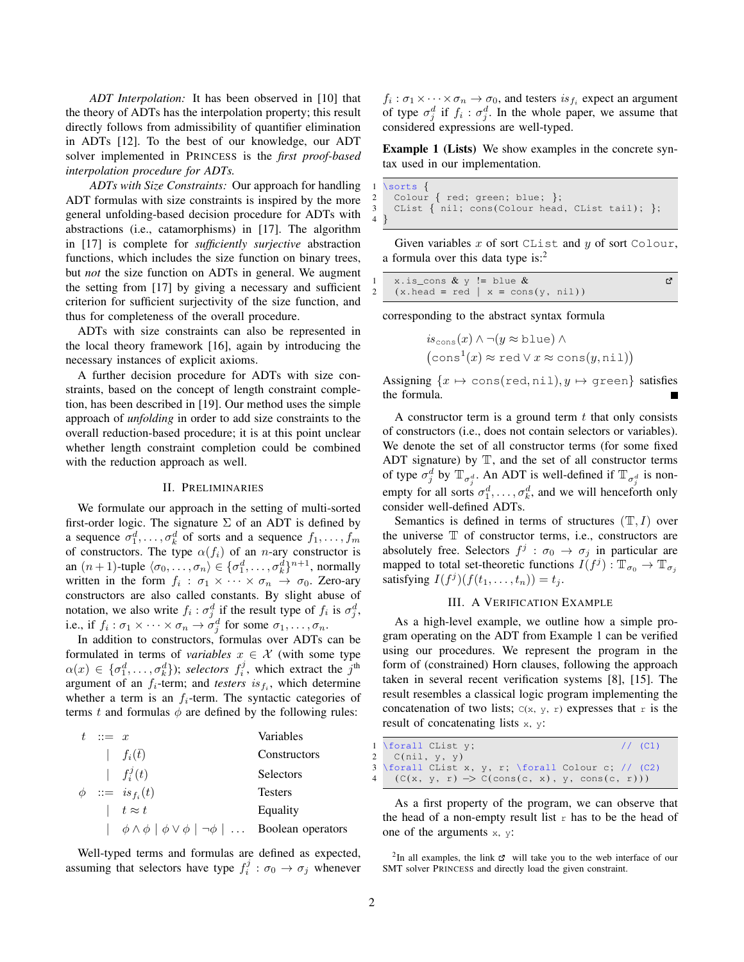*ADT Interpolation:* It has been observed in [\[10\]](#page-9-4) that the theory of ADTs has the interpolation property; this result directly follows from admissibility of quantifier elimination in ADTs [\[12\]](#page-9-1). To the best of our knowledge, our ADT solver implemented in PRINCESS is the *first proof-based interpolation procedure for ADTs.*

*ADTs with Size Constraints:* Our approach for handling ADT formulas with size constraints is inspired by the more general unfolding-based decision procedure for ADTs with abstractions (i.e., catamorphisms) in [\[17\]](#page-9-3). The algorithm in [\[17\]](#page-9-3) is complete for *sufficiently surjective* abstraction functions, which includes the size function on binary trees, but *not* the size function on ADTs in general. We augment the setting from [\[17\]](#page-9-3) by giving a necessary and sufficient criterion for sufficient surjectivity of the size function, and thus for completeness of the overall procedure.

ADTs with size constraints can also be represented in the local theory framework [\[16\]](#page-9-10), again by introducing the necessary instances of explicit axioms.

A further decision procedure for ADTs with size constraints, based on the concept of length constraint completion, has been described in [\[19\]](#page-9-11). Our method uses the simple approach of *unfolding* in order to add size constraints to the overall reduction-based procedure; it is at this point unclear whether length constraint completion could be combined with the reduction approach as well.

# II. PRELIMINARIES

<span id="page-1-2"></span>We formulate our approach in the setting of multi-sorted first-order logic. The signature  $\Sigma$  of an ADT is defined by a sequence  $\sigma_1^d, \ldots, \sigma_k^d$  of sorts and a sequence  $f_1, \ldots, f_m$ of constructors. The type  $\alpha(f_i)$  of an *n*-ary constructor is an  $(n + 1)$ -tuple  $\langle \sigma_0, \ldots, \sigma_n \rangle \in {\{\sigma_1^d, \ldots, \sigma_k^d\}}^{n+1}$ , normally written in the form  $f_i$ :  $\sigma_1 \times \cdots \times \sigma_n \rightarrow \sigma_0$ . Zero-ary constructors are also called constants. By slight abuse of notation, we also write  $f_i$ :  $\sigma_j^d$  if the result type of  $f_i$  is  $\sigma_j^d$ , i.e., if  $f_i : \sigma_1 \times \cdots \times \sigma_n \to \sigma_j^d$  for some  $\sigma_1, \ldots, \sigma_n$ .

In addition to constructors, formulas over ADTs can be formulated in terms of *variables*  $x \in \mathcal{X}$  (with some type  $\alpha(x) \in \{\sigma_1^d, \ldots, \sigma_k^d\}$ ; selectors  $f_i^j$ , which extract the  $j^{\text{th}}$ argument of an  $f_i$ -term; and *testers* is  $f_i$ , which determine whether a term is an  $f_i$ -term. The syntactic categories of terms t and formulas  $\phi$  are defined by the following rules:

 $t := x$  Variables  $| f_i(\bar{t})$  Constructors |  $f_i^j$ **Selectors**  $\phi$  ::= is  $f_i(t)$ **Testers**  $\vert t \approx t$  Equality  $|\phi \wedge \phi | \phi \vee \phi | \neg \phi | \dots$  Boolean operators

Well-typed terms and formulas are defined as expected, assuming that selectors have type  $f_i^j : \sigma_0 \to \sigma_j$  whenever

 $f_i: \sigma_1 \times \cdots \times \sigma_n \to \sigma_0$ , and testers  $is_{f_i}$  expect an argument of type  $\sigma_j^d$  if  $f_i : \sigma_j^d$ . In the whole paper, we assume that considered expressions are well-typed.

<span id="page-1-1"></span>Example 1 (Lists) We show examples in the concrete syntax used in our implementation.

```
\sorts {
  Colour \{ red; green; blue; \};CList \{\nemph{nil};\nemph{cons}(\ncomph{Colour head},\ncomph{Clist tail});\nemph{ }}\n
```
Given variables  $x$  of sort CList and  $y$  of sort Colour, a formula over this data type is:[2](#page-1-0)

| 1 x.is_cons $\&\vee$ != blue $\&$   |  |
|-------------------------------------|--|
| 2 (x.head = red   x = cons(y, nil)) |  |

corresponding to the abstract syntax formula

$$
is_{\text{cons}}(x) \land \neg(y \approx \text{blue}) \land (\text{cons}^1(x) \approx \text{red} \lor x \approx \text{cons}(y, \text{nil}))
$$

Assigning  $\{x \mapsto \text{cons}(\text{red}, \text{nil}), y \mapsto \text{green}\}$  satisfies the formula.

A constructor term is a ground term  $t$  that only consists of constructors (i.e., does not contain selectors or variables). We denote the set of all constructor terms (for some fixed ADT signature) by  $T$ , and the set of all constructor terms of type  $\sigma_j^d$  by  $\mathbb{T}_{\sigma_j^d}$ . An ADT is well-defined if  $\mathbb{T}_{\sigma_j^d}$  is nonempty for all sorts  $\sigma_1^d, \ldots, \sigma_k^d$ , and we will henceforth only consider well-defined ADTs.

Semantics is defined in terms of structures  $(T, I)$  over the universe  $T$  of constructor terms, i.e., constructors are absolutely free. Selectors  $f^j$ :  $\sigma_0 \rightarrow \sigma_j$  in particular are mapped to total set-theoretic functions  $I(f^j)$  :  $\mathbb{T}_{\sigma_0} \to \mathbb{T}_{\sigma_j}$ satisfying  $I(f^j)(f(t_1,\ldots,t_n))=t_j$ .

# III. A VERIFICATION EXAMPLE

As a high-level example, we outline how a simple program operating on the ADT from Example [1](#page-1-1) can be verified using our procedures. We represent the program in the form of (constrained) Horn clauses, following the approach taken in several recent verification systems [\[8\]](#page-9-12), [\[15\]](#page-9-13). The result resembles a classical logic program implementing the concatenation of two lists;  $C(x, y, r)$  expresses that r is the result of concatenating lists x, y:

| 1 \forall CList y;<br>$//$ (C1)                                         |  |
|-------------------------------------------------------------------------|--|
| 2 $C(nil, v, v)$                                                        |  |
| 3 \forall CList x, y, r; \forall Colour c; // (C2)                      |  |
| 4 $(C(x, y, r) \rightarrow C(\text{cons}(c, x), y, \text{cons}(c, r)))$ |  |

As a first property of the program, we can observe that the head of a non-empty result list  $r$  has to be the head of one of the arguments  $x$ ,  $y$ :

 $\overline{4}$ 

<span id="page-1-0"></span> $2$ In all examples, the link  $\sigma$  will take you to the web interface of our SMT solver PRINCESS and directly load the given constraint.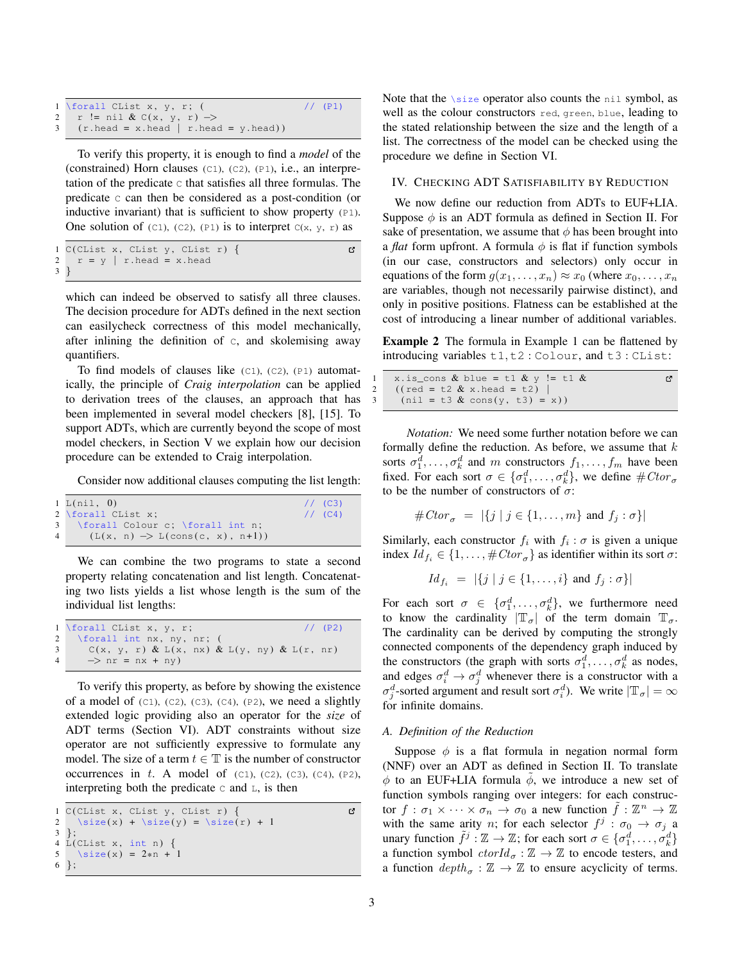| 1 \forall CList x, y, r; $($                                           | $1/$ (P1) |
|------------------------------------------------------------------------|-----------|
| 2 r != nil & C(x, y, r) ->                                             |           |
| $3$ $(r.\text{head} = x.\text{head}   r.\text{head} = y.\text{head}))$ |           |

To verify this property, it is enough to find a *model* of the (constrained) Horn clauses (C1), (C2), (P1), i.e., an interpretation of the predicate  $\sigma$  that satisfies all three formulas. The predicate C can then be considered as a post-condition (or inductive invariant) that is sufficient to show property  $(P1)$ . One solution of (C1), (C2), (P1) is to interpret  $C(x, y, r)$  as

```
1 C(CList x, CList y, CList r) {<br>2 r = y | r.head = x.head
                                                                                               ď
      r = y \mid r \text{. head} = x \text{. head}3 }
```
which can indeed be observed to satisfy all three clauses. The decision procedure for ADTs defined in the next section can easilycheck correctness of this model mechanically, after inlining the definition of C, and skolemising away quantifiers.

To find models of clauses like  $(C1)$ ,  $(C2)$ ,  $(P1)$  automatically, the principle of *Craig interpolation* can be applied to derivation trees of the clauses, an approach that has been implemented in several model checkers [\[8\]](#page-9-12), [\[15\]](#page-9-13). To support ADTs, which are currently beyond the scope of most model checkers, in Section [V](#page-5-0) we explain how our decision procedure can be extended to Craig interpolation.

Consider now additional clauses computing the list length:

| 1 L(nil, 0)                                                    | $1/1$ (C3) |
|----------------------------------------------------------------|------------|
| 2 \forall CList x;                                             | $1/1$ (C4) |
| 3 \forall Colour c; \forall int n;                             |            |
| $(L(x, n) \rightarrow L(\text{cons}(c, x), n+1))$<br>$4 \quad$ |            |
|                                                                |            |

We can combine the two programs to state a second property relating concatenation and list length. Concatenating two lists yields a list whose length is the sum of the individual list lengths:

|   | 1 \forall CList x, y, r;<br>$1/$ (P2)               |
|---|-----------------------------------------------------|
|   | 2 \forall int nx, ny, nr; (                         |
| 3 | $C(x, y, r)$ & $L(x, nx)$ & $L(y, ny)$ & $L(r, nr)$ |
| 4 | $\Rightarrow$ nr = nx + ny)                         |

To verify this property, as before by showing the existence of a model of  $(C1)$ ,  $(C2)$ ,  $(C3)$ ,  $(C4)$ ,  $(P2)$ , we need a slightly extended logic providing also an operator for the *size* of ADT terms (Section [VI\)](#page-5-1). ADT constraints without size operator are not sufficiently expressive to formulate any model. The size of a term  $t \in \mathbb{T}$  is the number of constructor occurrences in  $t$ . A model of (C1), (C2), (C3), (C4), (P2), interpreting both the predicate  $\circ$  and  $\mathbb{L}$ , is then

```
1 C(CList x, CList y, CList r) {
                                                                 Ľ,
2 \text{size}(x) + \text{size}(y) = \text{size}(r) + 13 };
4 L(CList x, int n) {
5 \text{ size(x)} = 2*n + 1<br>6 :
  \};
```
Note that the \size operator also counts the nil symbol, as well as the colour constructors red, green, blue, leading to the stated relationship between the size and the length of a list. The correctness of the model can be checked using the procedure we define in Section [VI.](#page-5-1)

#### IV. CHECKING ADT SATISFIABILITY BY REDUCTION

We now define our reduction from ADTs to EUF+LIA. Suppose  $\phi$  is an ADT formula as defined in Section [II.](#page-1-2) For sake of presentation, we assume that  $\phi$  has been brought into a *flat* form upfront. A formula  $\phi$  is flat if function symbols (in our case, constructors and selectors) only occur in equations of the form  $g(x_1, \ldots, x_n) \approx x_0$  (where  $x_0, \ldots, x_n$ ) are variables, though not necessarily pairwise distinct), and only in positive positions. Flatness can be established at the cost of introducing a linear number of additional variables.

<span id="page-2-0"></span>Example 2 The formula in Example [1](#page-1-1) can be flattened by introducing variables t1, t2 : Colour, and t3 : CList:

| 1 x.is_cons & blue = t1 & y != t1 & |  |
|-------------------------------------|--|
| 2 ((red = t2 & x.head = t2)         |  |
| 3 (nil = t3 & cons(y, t3) = x))     |  |

*Notation:* We need some further notation before we can formally define the reduction. As before, we assume that  $k$ sorts  $\sigma_1^d, \ldots, \sigma_k^d$  and m constructors  $f_1, \ldots, f_m$  have been fixed. For each sort  $\sigma \in {\{\sigma_1^d, \ldots, \sigma_k^d\}}$ , we define  $\# Ctor_{\sigma}$ to be the number of constructors of  $\sigma$ :

$$
\#Ctor_{\sigma} = |\{j \mid j \in \{1, \ldots, m\} \text{ and } f_j : \sigma\}|
$$

Similarly, each constructor  $f_i$  with  $f_i : \sigma$  is given a unique index  $Id_{f_i} \in \{1, \ldots, \# Ctor_{\sigma}\}\$ as identifier within its sort  $\sigma$ :

$$
Id_{f_i} = |\{j \mid j \in \{1, ..., i\} \text{ and } f_j : \sigma\}|
$$

For each sort  $\sigma \in \{\sigma_1^d, \ldots, \sigma_k^d\}$ , we furthermore need to know the cardinality  $|\mathbb{T}_{\sigma}|$  of the term domain  $\mathbb{T}_{\sigma}$ . The cardinality can be derived by computing the strongly connected components of the dependency graph induced by the constructors (the graph with sorts  $\sigma_1^d, \ldots, \sigma_k^d$  as nodes, and edges  $\sigma_i^d \rightarrow \sigma_j^d$  whenever there is a constructor with a  $\sigma_j^d$ -sorted argument and result sort  $\sigma_i^d$ ). We write  $|\mathbb{T}_{\sigma}| = \infty$ for infinite domains.

#### <span id="page-2-1"></span>*A. Definition of the Reduction*

Suppose  $\phi$  is a flat formula in negation normal form (NNF) over an ADT as defined in Section [II.](#page-1-2) To translate  $\phi$  to an EUF+LIA formula  $\phi$ , we introduce a new set of function symbols ranging over integers: for each constructor  $f : \sigma_1 \times \cdots \times \sigma_n \to \sigma_0$  a new function  $\tilde{f} : \mathbb{Z}^n \to \mathbb{Z}$ with the same arity *n*; for each selector  $f^j$  :  $\sigma_0 \rightarrow \sigma_j$  a unary function  $\tilde{f}^j : \mathbb{Z} \to \mathbb{Z}$ ; for each sort  $\sigma \in {\{\sigma_1^d, \ldots, \sigma_k^d\}}$ a function symbol  $\text{ttorId}_{\sigma} : \mathbb{Z} \to \mathbb{Z}$  to encode testers, and a function  $depth_{\sigma} : \mathbb{Z} \to \mathbb{Z}$  to ensure acyclicity of terms.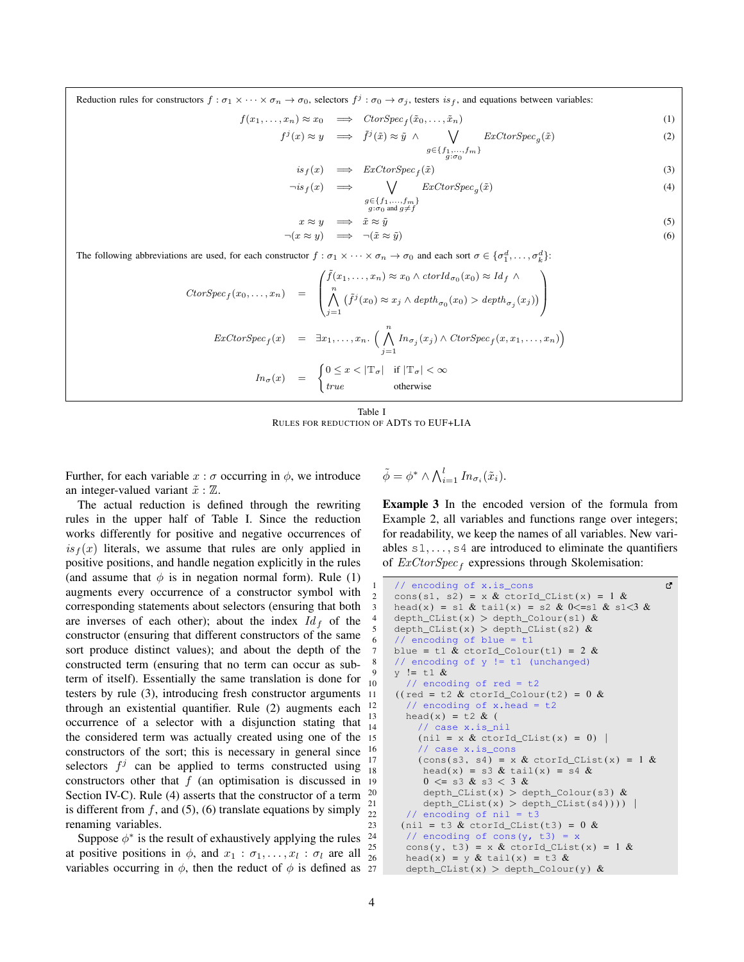Reduction rules for constructors  $f : \sigma_1 \times \cdots \times \sigma_n \to \sigma_0$ , selectors  $f^j : \sigma_0 \to \sigma_j$ , testers  $is_f$ , and equations between variables:

$$
f(x_1, \ldots, x_n) \approx x_0 \quad \Longrightarrow \quad \mathcal{C} \text{tor} \mathcal{S} \text{pec}_f(\tilde{x}_0, \ldots, \tilde{x}_n) \tag{1}
$$

$$
f^{j}(x) \approx y \quad \Longrightarrow \quad \tilde{f}^{j}(\tilde{x}) \approx \tilde{y} \ \land \ \bigvee_{\substack{g \in \{f_{1}, \dots, f_{m}\} \\ g: \sigma_{0}}} ExCorSpec_{g}(\tilde{x}) \tag{2}
$$

<span id="page-3-1"></span>
$$
is_f(x) \quad \Longrightarrow \quad ExCorSpec_f(\tilde{x}) \tag{3}
$$

$$
\neg is_{f}(x) \quad \Longrightarrow \quad \bigvee \quad \mathbb{E}x\mathbb{C} \text{torSpec}_{g}(\tilde{x}) \tag{4}
$$

<span id="page-3-6"></span><span id="page-3-5"></span><span id="page-3-4"></span><span id="page-3-3"></span><span id="page-3-2"></span>
$$
\begin{array}{l}g \!\in\!\{f_1,...,f_m\} \\ g\!:\!\sigma_0 \text{ and } g \!\neq\! f\end{array}
$$

$$
x \approx y \implies \tilde{x} \approx \tilde{y} \tag{5}
$$

$$
\neg(x \approx y) \implies \neg(\tilde{x} \approx \tilde{y}) \tag{6}
$$

The following abbreviations are used, for each constructor  $f : \sigma_1 \times \cdots \times \sigma_n \to \sigma_0$  and each sort  $\sigma \in {\{\sigma_1^d, \ldots, \sigma_k^d\}}$ :

$$
CtorSpec_f(x_0,...,x_n) = \begin{pmatrix} \tilde{f}(x_1,...,x_n) \approx x_0 \wedge \operatorname{ctorId}_{\sigma_0}(x_0) \approx \operatorname{Id}_f \wedge \\ \bigwedge_{j=1}^n (\tilde{f}^j(x_0) \approx x_j \wedge \operatorname{depth}_{\sigma_0}(x_0) > \operatorname{depth}_{\sigma_j}(x_j)) \end{pmatrix}
$$

$$
ExCtorSpec_f(x) = \exists x_1,...,x_n. \left( \bigwedge_{j=1}^n \operatorname{In}_{\sigma_j}(x_j) \wedge \operatorname{CtorSpec}_f(x, x_1,...,x_n) \right)
$$

$$
\operatorname{In}_{\sigma}(x) = \begin{cases} 0 \le x < |\mathbb{T}_{\sigma}| & \text{if } |\mathbb{T}_{\sigma}| < \infty \\ \operatorname{true} & \text{otherwise} \end{cases}
$$

Table I RULES FOR REDUCTION OF ADTS TO EUF+LIA

<span id="page-3-0"></span>Further, for each variable  $x : \sigma$  occurring in  $\phi$ , we introduce an integer-valued variant  $\tilde{x} : \mathbb{Z}$ .

The actual reduction is defined through the rewriting rules in the upper half of Table [I.](#page-3-0) Since the reduction works differently for positive and negative occurrences of  $is_f(x)$  literals, we assume that rules are only applied in positive positions, and handle negation explicitly in the rules (and assume that  $\phi$  is in negation normal form). Rule [\(1\)](#page-3-1) augments every occurrence of a constructor symbol with corresponding statements about selectors (ensuring that both are inverses of each other); about the index  $Id_f$  of the constructor (ensuring that different constructors of the same sort produce distinct values); and about the depth of the constructed term (ensuring that no term can occur as subterm of itself). Essentially the same translation is done for testers by rule [\(3\)](#page-3-2), introducing fresh constructor arguments 11 through an existential quantifier. Rule [\(2\)](#page-3-3) augments each <sup>12</sup> occurrence of a selector with a disjunction stating that  $\frac{13}{14}$ the considered term was actually created using one of the constructors of the sort; this is necessary in general since  $\frac{16}{15}$ selectors  $f^j$  can be applied to terms constructed using constructors other that  $f$  (an optimisation is discussed in  $19$ Section [IV-C\)](#page-4-0). Rule [\(4\)](#page-3-4) asserts that the constructor of a term is different from f, and [\(5\)](#page-3-5), [\(6\)](#page-3-6) translate equations by simply  $\frac{1}{22}$ renaming variables.

Suppose  $\phi^*$  is the result of exhaustively applying the rules at positive positions in  $\phi$ , and  $x_1 : \sigma_1, \ldots, x_l : \sigma_l$  are all variables occurring in  $\phi$ , then the reduct of  $\phi$  is defined as 27

<span id="page-3-7"></span>
$$
\tilde{\phi} = \phi^* \wedge \bigwedge_{i=1}^l In_{\sigma_i}(\tilde{x}_i).
$$

Example 3 In the encoded version of the formula from Example [2,](#page-2-0) all variables and functions range over integers; for readability, we keep the names of all variables. New variables  $s_1, \ldots, s_4$  are introduced to eliminate the quantifiers of  $ExCtorSpec_f$  expressions through Skolemisation:

```
// encoding of x.is_cons
                                                         ٢Ž
2 cons(s1, s2) = x & ctorId_CList(x) = 1 &<br>3 head(x) = s1 & tail(x) = s2 & 0 <= s1 & s1
     head(x) = s1 & tail(x) = s2 & 0 <= s1 & s1 <3 &
     depth\_Clist(x) > depth\_Colour(s1) &
     depth\_Clist(x) > depth\_Clist(s2) &
     // encoding of blue = t1blue = t1 \& ctorId_Colour(t1) = 2 \&// encoding of y := t1 (unchanged)
9 y := t1 & 8<br>10 // encod
       // encoding of red = t2(( \text{red} = t2 \& \text{ctorId\_Column}(t2) = 0 \&// encoding of x.head = t2
13 head(x) = t2 & (// case x.is_nil
          (nil = x & ctorId CList(x) = 0) |
          // case x.is cons
17 (cons(s3, s4) = x & ctorId_CList(x) = 1 &<br>18 head(x) = s3 & tail(x) = s4 &
          head(x) = s3 & tail(x) = s4 &
          0 \leq s3 \& s3 < 3 \&20 depth_CList(x) > depth_Colour(s3) \&21 depth_CList(x) > depth_CList(s4)))) |
       // encoding of nil = t323 (nil = t3 & ctorId_CList(t3) = 0 &
       // encoding of cons(y, t3) = x
25 cons(y, t3) = x & ctorId_CList(x) = 1 &
26 head(x) = y & tail(x) = t3 &
       depth\_Clist(x) > depth\_Colour(y) &
```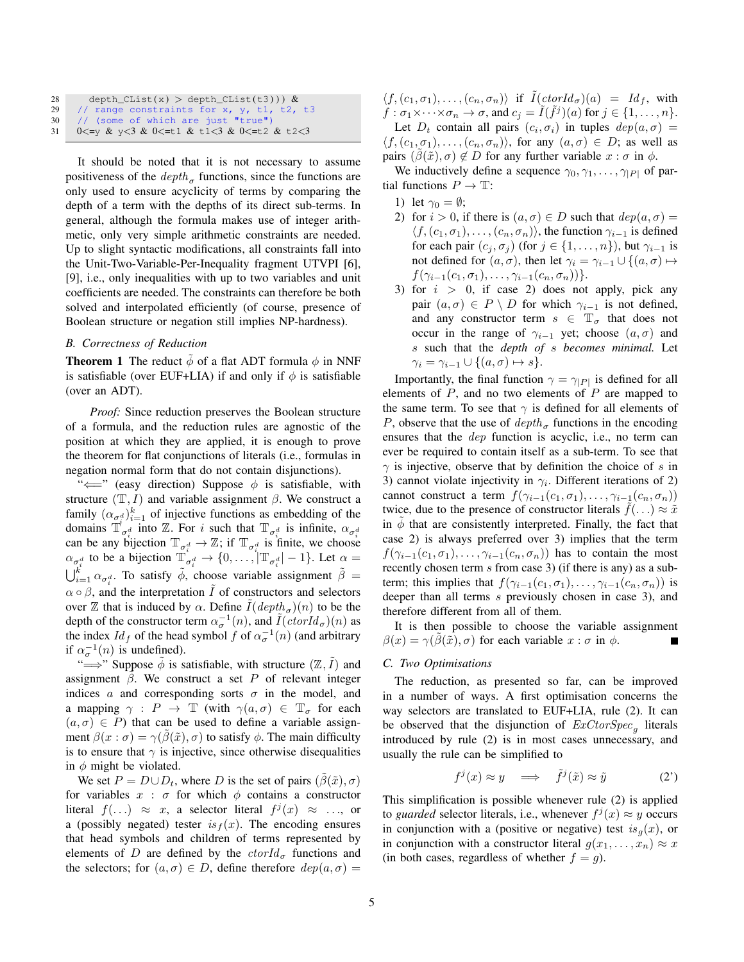| 28 | depth_CList(x) > depth_CList(t3))) $\&$       |
|----|-----------------------------------------------|
| 29 | // range constraints for x, y, t1, t2, t3     |
|    | 30 // (some of which are just "true")         |
|    | 31   0<=y & y<3 & 0<=t1 & t1<3 & 0<=t2 & t2<3 |

It should be noted that it is not necessary to assume positiveness of the  $depth_{\sigma}$  functions, since the functions are only used to ensure acyclicity of terms by comparing the depth of a term with the depths of its direct sub-terms. In general, although the formula makes use of integer arithmetic, only very simple arithmetic constraints are needed. Up to slight syntactic modifications, all constraints fall into the Unit-Two-Variable-Per-Inequality fragment UTVPI [\[6\]](#page-9-14), [\[9\]](#page-9-15), i.e., only inequalities with up to two variables and unit coefficients are needed. The constraints can therefore be both solved and interpolated efficiently (of course, presence of Boolean structure or negation still implies NP-hardness).

# *B. Correctness of Reduction*

<span id="page-4-1"></span>**Theorem 1** The reduct  $\phi$  of a flat ADT formula  $\phi$  in NNF is satisfiable (over EUF+LIA) if and only if  $\phi$  is satisfiable (over an ADT).

*Proof:* Since reduction preserves the Boolean structure of a formula, and the reduction rules are agnostic of the position at which they are applied, it is enough to prove the theorem for flat conjunctions of literals (i.e., formulas in negation normal form that do not contain disjunctions).

" $\Longleftarrow$ " (easy direction) Suppose  $\phi$  is satisfiable, with structure  $(\mathbb{T}, I)$  and variable assignment  $\beta$ . We construct a family  $(\alpha_{\sigma_i^d})_{i=1}^k$  of injective functions as embedding of the domains  $\mathbb{T}_{\sigma_i^d}^i$  into  $\mathbb{Z}$ . For i such that  $\mathbb{T}_{\sigma_i^d}$  is infinite,  $\alpha_{\sigma_i^d}$ can be any bijection  $\mathbb{T}_{\sigma_i^d} \to \mathbb{Z}$ ; if  $\mathbb{T}_{\sigma_i^d}$  is finite, we choose  $\alpha_{\sigma_i^d}$  to be a bijection  $\mathbb{T}_{\sigma_i^d}^{\dagger} \to \{0, \ldots, |\mathbb{T}_{\sigma_i^d}| - 1\}$ . Let  $\alpha =$  $\bigcup_{i=1}^k \alpha_{\sigma_i^d}$ . To satisfy  $\tilde{\phi}$ , choose variable assignment  $\tilde{\beta} =$  $\alpha \circ \beta$ , and the interpretation  $\overline{I}$  of constructors and selectors over  $\mathbb Z$  that is induced by  $\alpha$ . Define  $\tilde{I}(depth_{\sigma})(n)$  to be the depth of the constructor term  $\alpha_{\sigma}^{-1}(n)$ , and  $\tilde{I}(ctorId_{\sigma})(n)$  as the index  $Id_f$  of the head symbol f of  $\alpha_{\sigma}^{-1}(n)$  (and arbitrary if  $\alpha_{\sigma}^{-1}(n)$  is undefined).

" $\Longrightarrow$ " Suppose  $\tilde{\phi}$  is satisfiable, with structure  $(\mathbb{Z}, \tilde{I})$  and assignment  $\beta$ . We construct a set P of relevant integer indices  $\alpha$  and corresponding sorts  $\sigma$  in the model, and a mapping  $\gamma : P \to \mathbb{T}$  (with  $\gamma(a, \sigma) \in \mathbb{T}_{\sigma}$  for each  $(a, \sigma) \in P$ ) that can be used to define a variable assignment  $\beta(x : \sigma) = \gamma(\beta(\tilde{x}), \sigma)$  to satisfy  $\phi$ . The main difficulty is to ensure that  $\gamma$  is injective, since otherwise disequalities in  $\phi$  might be violated.

We set  $P = D \cup D_t$ , where D is the set of pairs  $(\beta(\tilde{x}), \sigma)$ for variables  $x : \sigma$  for which  $\phi$  contains a constructor literal  $f(...) \approx x$ , a selector literal  $f^j(x) \approx ...$ , or a (possibly negated) tester  $is_f(x)$ . The encoding ensures that head symbols and children of terms represented by elements of D are defined by the  $ctorId_{\sigma}$  functions and the selectors; for  $(a, \sigma) \in D$ , define therefore  $dep(a, \sigma)$  =

 $\langle f,(c_1,\sigma_1),\ldots,(c_n,\sigma_n)\rangle$  if  $I(ctorId_{\sigma})(a) = Id_f$ , with  $f: \sigma_1 \times \cdots \times \sigma_n \to \sigma$ , and  $c_j = \tilde{I}(\tilde{f}^j)(a)$  for  $j \in \{1, \ldots, n\}.$ Let  $D_t$  contain all pairs  $(c_i, \sigma_i)$  in tuples  $dep(a, \sigma)$  =  $\langle f,(c_1,\sigma_1),\ldots,(c_n,\sigma_n)\rangle$ , for any  $(a,\sigma)\in D$ ; as well as pairs  $(\beta(\tilde{x}), \sigma) \notin D$  for any further variable  $x : \sigma$  in  $\phi$ .

We inductively define a sequence  $\gamma_0, \gamma_1, \ldots, \gamma_{|P|}$  of partial functions  $P \to \mathbb{T}$ :

- 1) let  $\gamma_0 = \emptyset$ ;
- 2) for  $i > 0$ , if there is  $(a, \sigma) \in D$  such that  $dep(a, \sigma) =$  $\langle f,(c_1,\sigma_1),\ldots,(c_n,\sigma_n)\rangle$ , the function  $\gamma_{i-1}$  is defined for each pair  $(c_j, \sigma_j)$  (for  $j \in \{1, \ldots, n\}$ ), but  $\gamma_{i-1}$  is not defined for  $(a, \sigma)$ , then let  $\gamma_i = \gamma_{i-1} \cup \{(a, \sigma) \mapsto$  $f(\gamma_{i-1}(c_1,\sigma_1),\ldots,\gamma_{i-1}(c_n,\sigma_n))\}.$
- 3) for  $i > 0$ , if case 2) does not apply, pick any pair  $(a, \sigma) \in P \setminus D$  for which  $\gamma_{i-1}$  is not defined, and any constructor term  $s \in \mathbb{T}_{\sigma}$  that does not occur in the range of  $\gamma_{i-1}$  yet; choose  $(a, \sigma)$  and s such that the *depth of* s *becomes minimal.* Let  $\gamma_i = \gamma_{i-1} \cup \{(a, \sigma) \mapsto s\}.$

Importantly, the final function  $\gamma = \gamma_{|P|}$  is defined for all elements of  $P$ , and no two elements of  $P$  are mapped to the same term. To see that  $\gamma$  is defined for all elements of P, observe that the use of  $depth_{\sigma}$  functions in the encoding ensures that the dep function is acyclic, i.e., no term can ever be required to contain itself as a sub-term. To see that  $\gamma$  is injective, observe that by definition the choice of s in 3) cannot violate injectivity in  $\gamma_i$ . Different iterations of 2) cannot construct a term  $f(\gamma_{i-1}(c_1, \sigma_1), \ldots, \gamma_{i-1}(c_n, \sigma_n))$ twice, due to the presence of constructor literals  $f(\ldots) \approx \tilde{x}$ in  $\phi$  that are consistently interpreted. Finally, the fact that case 2) is always preferred over 3) implies that the term  $f(\gamma_{i-1}(c_1,\sigma_1),\ldots,\gamma_{i-1}(c_n,\sigma_n))$  has to contain the most recently chosen term  $s$  from case 3) (if there is any) as a subterm; this implies that  $f(\gamma_{i-1}(c_1, \sigma_1), \ldots, \gamma_{i-1}(c_n, \sigma_n))$  is deeper than all terms s previously chosen in case 3), and therefore different from all of them.

It is then possible to choose the variable assignment  $\beta(x) = \gamma(\hat{\beta}(\tilde{x}), \sigma)$  for each variable  $x : \sigma$  in  $\phi$ .  $\blacksquare$ 

## <span id="page-4-0"></span>*C. Two Optimisations*

The reduction, as presented so far, can be improved in a number of ways. A first optimisation concerns the way selectors are translated to EUF+LIA, rule [\(2\)](#page-3-3). It can be observed that the disjunction of  $ExCtorSpec<sub>g</sub>$  literals introduced by rule [\(2\)](#page-3-3) is in most cases unnecessary, and usually the rule can be simplified to

$$
f^{j}(x) \approx y \quad \Longrightarrow \quad \tilde{f}^{j}(\tilde{x}) \approx \tilde{y} \tag{2'}
$$

This simplification is possible whenever rule [\(2\)](#page-3-3) is applied to *guarded* selector literals, i.e., whenever  $f^j(x) \approx y$  occurs in conjunction with a (positive or negative) test  $is_{\alpha}(x)$ , or in conjunction with a constructor literal  $g(x_1, \ldots, x_n) \approx x$ (in both cases, regardless of whether  $f = g$ ).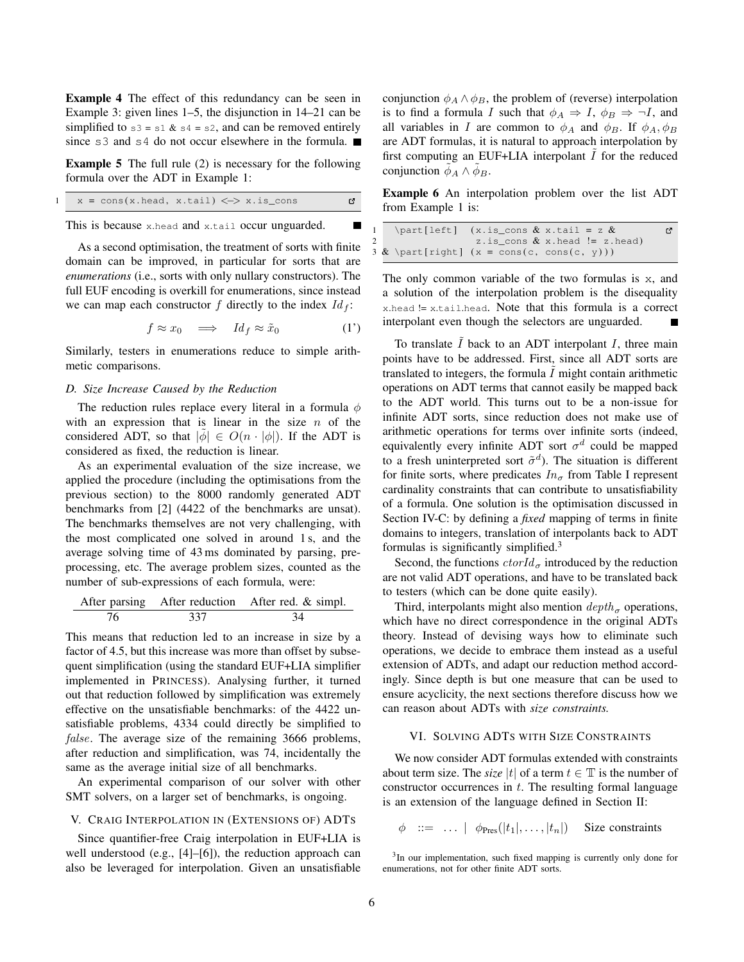Example 4 The effect of this redundancy can be seen in Example [3:](#page-3-7) given lines 1–5, the disjunction in 14–21 can be simplified to  $s3 = s1 \& s4 = s2$ , and can be removed entirely since s3 and s4 do not occur elsewhere in the formula.

Example 5 The full rule [\(2\)](#page-3-3) is necessary for the following formula over the ADT in Example [1:](#page-1-1)

$$
1 \quad x = \cos(x \cdot \text{head}, x \cdot \text{tail}) \iff x \cdot \text{is\_cons}
$$

This is because x.head and x.tail occur unguarded.

As a second optimisation, the treatment of sorts with finite domain can be improved, in particular for sorts that are *enumerations* (i.e., sorts with only nullary constructors). The full EUF encoding is overkill for enumerations, since instead we can map each constructor f directly to the index  $Id_f$ :

$$
f \approx x_0 \quad \Longrightarrow \quad Id_f \approx \tilde{x}_0 \tag{1'}
$$

Similarly, testers in enumerations reduce to simple arithmetic comparisons.

# *D. Size Increase Caused by the Reduction*

The reduction rules replace every literal in a formula  $\phi$ with an expression that is linear in the size  $n$  of the considered ADT, so that  $|\phi| \in O(n \cdot |\phi|)$ . If the ADT is considered as fixed, the reduction is linear.

As an experimental evaluation of the size increase, we applied the procedure (including the optimisations from the previous section) to the 8000 randomly generated ADT benchmarks from [\[2\]](#page-9-0) (4422 of the benchmarks are unsat). The benchmarks themselves are not very challenging, with the most complicated one solved in around 1 s, and the average solving time of 43 ms dominated by parsing, preprocessing, etc. The average problem sizes, counted as the number of sub-expressions of each formula, were:

After parsing After reduction After red. & simpl. 76 337 34

This means that reduction led to an increase in size by a factor of 4.5, but this increase was more than offset by subsequent simplification (using the standard EUF+LIA simplifier implemented in PRINCESS). Analysing further, it turned out that reduction followed by simplification was extremely effective on the unsatisfiable benchmarks: of the 4422 unsatisfiable problems, 4334 could directly be simplified to false. The average size of the remaining 3666 problems, after reduction and simplification, was 74, incidentally the same as the average initial size of all benchmarks.

An experimental comparison of our solver with other SMT solvers, on a larger set of benchmarks, is ongoing.

# <span id="page-5-0"></span>V. CRAIG INTERPOLATION IN (EXTENSIONS OF) ADTS

Since quantifier-free Craig interpolation in EUF+LIA is well understood (e.g., [\[4\]](#page-9-16)–[\[6\]](#page-9-14)), the reduction approach can also be leveraged for interpolation. Given an unsatisfiable conjunction  $\phi_A \wedge \phi_B$ , the problem of (reverse) interpolation is to find a formula I such that  $\phi_A \Rightarrow I$ ,  $\phi_B \Rightarrow \neg I$ , and all variables in I are common to  $\phi_A$  and  $\phi_B$ . If  $\phi_A, \phi_B$ are ADT formulas, it is natural to approach interpolation by first computing an EUF+LIA interpolant  $I$  for the reduced conjunction  $\phi_A \wedge \phi_B$ .

Example 6 An interpolation problem over the list ADT from Example [1](#page-1-1) is:

```
\partial \left[ \text{left} \right] (x.is\_cons & x.tail = z &Ľ,
                   z.is_cons & x. head != z. head)
\& \partial (x = \cos(c, \cos(c, y)))
```
The only common variable of the two formulas is x, and a solution of the interpolation problem is the disequality x.head != x.tail.head. Note that this formula is a correct interpolant even though the selectors are unguarded.

To translate  $\tilde{I}$  back to an ADT interpolant  $I$ , three main points have to be addressed. First, since all ADT sorts are translated to integers, the formula  $\tilde{I}$  might contain arithmetic operations on ADT terms that cannot easily be mapped back to the ADT world. This turns out to be a non-issue for infinite ADT sorts, since reduction does not make use of arithmetic operations for terms over infinite sorts (indeed, equivalently every infinite ADT sort  $\sigma$ <sup>d</sup> could be mapped to a fresh uninterpreted sort  $\tilde{\sigma}^d$ ). The situation is different for finite sorts, where predicates  $In_{\sigma}$  from Table [I](#page-3-0) represent cardinality constraints that can contribute to unsatisfiability of a formula. One solution is the optimisation discussed in Section [IV-C:](#page-4-0) by defining a *fixed* mapping of terms in finite domains to integers, translation of interpolants back to ADT formulas is significantly simplified.<sup>[3](#page-5-2)</sup>

Second, the functions  $ctorId_{\sigma}$  introduced by the reduction are not valid ADT operations, and have to be translated back to testers (which can be done quite easily).

Third, interpolants might also mention  $depth_{\sigma}$  operations, which have no direct correspondence in the original ADTs theory. Instead of devising ways how to eliminate such operations, we decide to embrace them instead as a useful extension of ADTs, and adapt our reduction method accordingly. Since depth is but one measure that can be used to ensure acyclicity, the next sections therefore discuss how we can reason about ADTs with *size constraints.*

#### <span id="page-5-1"></span>VI. SOLVING ADTS WITH SIZE CONSTRAINTS

We now consider ADT formulas extended with constraints about term size. The *size* |t| of a term  $t \in \mathbb{T}$  is the number of constructor occurrences in  $t$ . The resulting formal language is an extension of the language defined in Section [II:](#page-1-2)

 $\phi$  ::= ...  $|\phi_{\text{Pres}}(|t_1|, \ldots, |t_n|)$  Size constraints

<span id="page-5-2"></span><sup>&</sup>lt;sup>3</sup>In our implementation, such fixed mapping is currently only done for enumerations, not for other finite ADT sorts.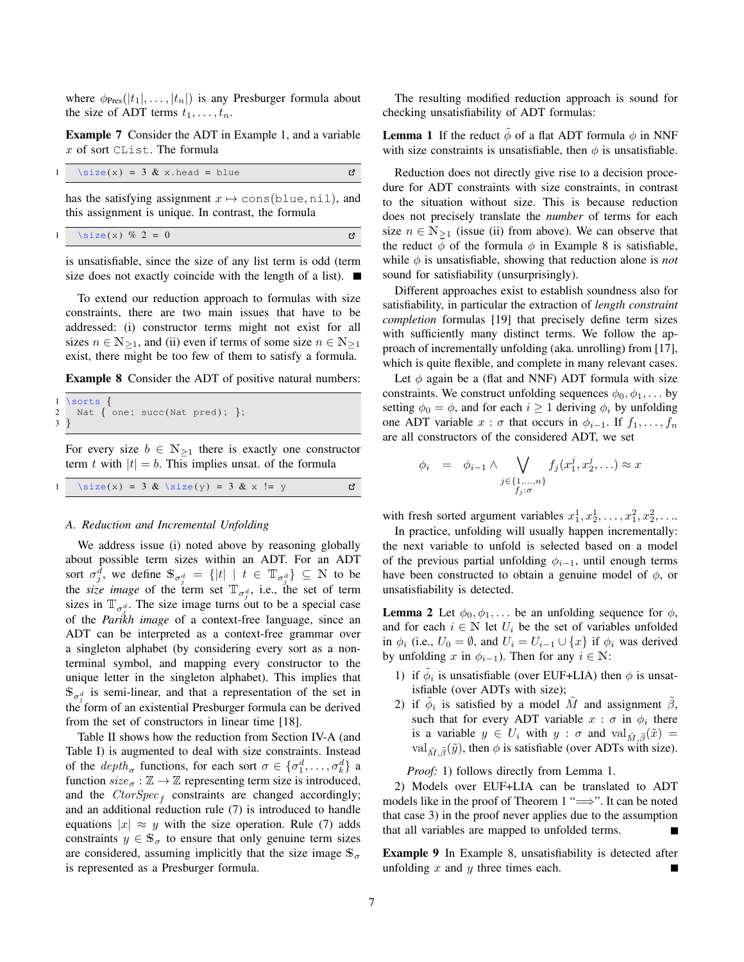where  $\phi_{\text{Pres}}(|t_1|, \ldots, |t_n|)$  is any Presburger formula about the size of ADT terms  $t_1, \ldots, t_n$ .

Example 7 Consider the ADT in Example [1,](#page-1-1) and a variable x of sort CList. The formula

$$
1 \text{ size}(x) = 3 & x \text{.head} = blue
$$

has the satisfying assignment  $x \mapsto \text{cons}(\text{blue}, \text{nil})$ , and this assignment is unique. In contrast, the formula

$$
1 \quad \text{size}(x) \, % \, 2 = 0
$$

is unsatisfiable, since the size of any list term is odd (term size does not exactly coincide with the length of a list).  $\blacksquare$ 

To extend our reduction approach to formulas with size constraints, there are two main issues that have to be addressed: (i) constructor terms might not exist for all sizes  $n \in N_{\geq 1}$ , and (ii) even if terms of some size  $n \in N_{\geq 1}$ exist, there might be too few of them to satisfy a formula.

<span id="page-6-0"></span>Example 8 Consider the ADT of positive natural numbers:

```
1 \sorts {
2 Nat { one; succ(Nat pred); }; 3 }
 }
```
For every size  $b \in \mathbb{N}_{\geq 1}$  there is exactly one constructor term t with  $|t| = b$ . This implies unsat. of the formula

|  | 1 \size(x) = 3 & \size(y) = 3 & x != y |  |  |  |  |  |  |  |  |  |  |  |
|--|----------------------------------------|--|--|--|--|--|--|--|--|--|--|--|
|--|----------------------------------------|--|--|--|--|--|--|--|--|--|--|--|

#### *A. Reduction and Incremental Unfolding*

We address issue (i) noted above by reasoning globally about possible term sizes within an ADT. For an ADT sort  $\sigma_j^d$ , we define  $\mathbb{S}_{\sigma_i^d} = \{|t| \mid t \in \mathbb{T}_{\sigma_i^d}\} \subseteq \mathbb{N}$  to be the *size image* of the term set  $T_{\sigma_j^d}$ , i.e., the set of term sizes in  $\mathbb{T}_{\sigma_i^d}$ . The size image turns out to be a special case of the *Parikh image* of a context-free language, since an ADT can be interpreted as a context-free grammar over a singleton alphabet (by considering every sort as a nonterminal symbol, and mapping every constructor to the unique letter in the singleton alphabet). This implies that  $\mathbb{S}_{\sigma_j^d}$  is semi-linear, and that a representation of the set in the form of an existential Presburger formula can be derived from the set of constructors in linear time [\[18\]](#page-9-17).

Table [II](#page-7-0) shows how the reduction from Section [IV-A](#page-2-1) (and Table [I\)](#page-3-0) is augmented to deal with size constraints. Instead of the  $depth_{\sigma}$  functions, for each sort  $\sigma \in {\{\sigma_1^d, \ldots, \sigma_k^d\}}$  a function  $size_{\sigma} : \mathbb{Z} \rightarrow \mathbb{Z}$  representing term size is introduced, and the  $CtorSpec_f$  constraints are changed accordingly; and an additional reduction rule [\(7\)](#page-7-1) is introduced to handle equations  $|x| \approx y$  with the size operation. Rule [\(7\)](#page-7-1) adds constraints  $y \in \mathbb{S}_{\sigma}$  to ensure that only genuine term sizes are considered, assuming implicitly that the size image  $\mathbb{S}_{\sigma}$ is represented as a Presburger formula.

<span id="page-6-1"></span>The resulting modified reduction approach is sound for checking unsatisfiability of ADT formulas:

**Lemma 1** If the reduct  $\phi$  of a flat ADT formula  $\phi$  in NNF with size constraints is unsatisfiable, then  $\phi$  is unsatisfiable.

Reduction does not directly give rise to a decision procedure for ADT constraints with size constraints, in contrast to the situation without size. This is because reduction does not precisely translate the *number* of terms for each size  $n \in \mathbb{N}_{\geq 1}$  (issue (ii) from above). We can observe that the reduct  $\phi$  of the formula  $\phi$  in Example [8](#page-6-0) is satisfiable, while  $\phi$  is unsatisfiable, showing that reduction alone is *not* sound for satisfiability (unsurprisingly).

Different approaches exist to establish soundness also for satisfiability, in particular the extraction of *length constraint completion* formulas [\[19\]](#page-9-11) that precisely define term sizes with sufficiently many distinct terms. We follow the approach of incrementally unfolding (aka. unrolling) from [\[17\]](#page-9-3), which is quite flexible, and complete in many relevant cases.

Let  $\phi$  again be a (flat and NNF) ADT formula with size constraints. We construct unfolding sequences  $\phi_0, \phi_1, \dots$  by setting  $\phi_0 = \phi$ , and for each  $i \geq 1$  deriving  $\phi_i$  by unfolding one ADT variable  $x : \sigma$  that occurs in  $\phi_{i-1}$ . If  $f_1, \ldots, f_n$ are all constructors of the considered ADT, we set

$$
\phi_i = \phi_{i-1} \land \bigvee_{\substack{j \in \{1,\ldots,n\} \\ f_j:\sigma}} f_j(x_1^j, x_2^j, \ldots) \approx x
$$

with fresh sorted argument variables  $x_1^1, x_2^1, \ldots, x_1^2, x_2^2, \ldots$ 

In practice, unfolding will usually happen incrementally: the next variable to unfold is selected based on a model of the previous partial unfolding  $\phi_{i-1}$ , until enough terms have been constructed to obtain a genuine model of  $\phi$ , or unsatisfiability is detected.

<span id="page-6-2"></span>**Lemma 2** Let  $\phi_0, \phi_1, \ldots$  be an unfolding sequence for  $\phi$ , and for each  $i \in \mathbb{N}$  let  $U_i$  be the set of variables unfolded in  $\phi_i$  (i.e.,  $U_0 = \emptyset$ , and  $U_i = U_{i-1} \cup \{x\}$  if  $\phi_i$  was derived by unfolding x in  $\phi_{i-1}$ ). Then for any  $i \in \mathbb{N}$ :

- 1) if  $\tilde{\phi}_i$  is unsatisfiable (over EUF+LIA) then  $\phi$  is unsatisfiable (over ADTs with size);
- 2) if  $\tilde{\phi}_i$  is satisfied by a model  $\tilde{M}$  and assignment  $\tilde{\beta}$ , such that for every ADT variable  $x : \sigma$  in  $\phi_i$  there is a variable  $y \in U_i$  with  $y : \sigma$  and  $\text{val}_{\tilde{M}, \tilde{\beta}}(\tilde{x}) =$ val  $\tilde{M}$   $\tilde{g}(\tilde{y})$ , then  $\phi$  is satisfiable (over ADTs with size).

*Proof:* 1) follows directly from Lemma [1.](#page-6-1)

2) Models over EUF+LIA can be translated to ADT models like in the proof of Theorem [1](#page-4-1) " $\implies$ ". It can be noted that case 3) in the proof never applies due to the assumption that all variables are mapped to unfolded terms.

Example 9 In Example [8,](#page-6-0) unsatisfiability is detected after unfolding  $x$  and  $y$  three times each.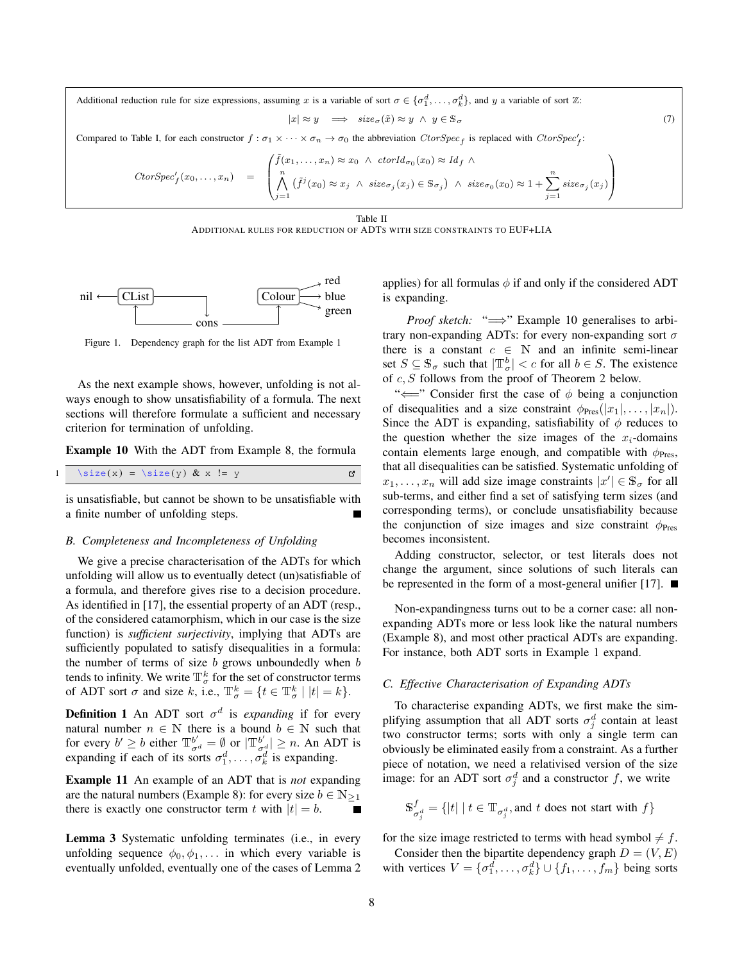Additional reduction rule for size expressions, assuming x is a variable of sort  $\sigma \in \{\sigma_1^d, \ldots, \sigma_k^d\}$ , and y a variable of sort  $\mathbb{Z}$ :

$$
|x| \approx y \quad \Longrightarrow \quad size_{\sigma}(\tilde{x}) \approx y \ \land \ y \in \mathbb{S}_{\sigma} \tag{7}
$$

Compared to Table [I,](#page-3-0) for each constructor  $f : \sigma_1 \times \cdots \times \sigma_n \to \sigma_0$  the abbreviation  $CtorSpec_f$  is replaced with  $CtorSpec_f'$ :

$$
CtorSpec_f'(x_0,...,x_n) = \left( \bigwedge_{j=1}^n (f^j(x_0) \approx x_j \land \operatorname{ctorId}_{\sigma_0}(x_0) \approx Id_f \land \right)
$$
  

$$
\left( \bigwedge_{j=1}^n (f^j(x_0) \approx x_j \land \operatorname{size}_{\sigma_j}(x_j) \in \mathbb{S}_{\sigma_j} \right) \land \operatorname{size}_{\sigma_0}(x_0) \approx 1 + \sum_{j=1}^n \operatorname{size}_{\sigma_j}(x_j)
$$

Table II

ADDITIONAL RULES FOR REDUCTION OF ADTS WITH SIZE CONSTRAINTS TO EUF+LIA

<span id="page-7-0"></span>

<span id="page-7-3"></span>Figure 1. Dependency graph for the list ADT from Example [1](#page-1-1)

As the next example shows, however, unfolding is not always enough to show unsatisfiability of a formula. The next sections will therefore formulate a sufficient and necessary criterion for termination of unfolding.

Example 10 With the ADT from Example [8,](#page-6-0) the formula

$$
1 \quad \text{size}(x) = \text{size}(y) \& x := y
$$

is unsatisfiable, but cannot be shown to be unsatisfiable with a finite number of unfolding steps.

#### *B. Completeness and Incompleteness of Unfolding*

We give a precise characterisation of the ADTs for which unfolding will allow us to eventually detect (un)satisfiable of a formula, and therefore gives rise to a decision procedure. As identified in [\[17\]](#page-9-3), the essential property of an ADT (resp., of the considered catamorphism, which in our case is the size function) is *sufficient surjectivity*, implying that ADTs are sufficiently populated to satisfy disequalities in a formula: the number of terms of size  $b$  grows unboundedly when  $b$ tends to infinity. We write  $\mathbb{T}^k_\sigma$  for the set of constructor terms of ADT sort  $\sigma$  and size k, i.e.,  $\mathbb{T}_{\sigma}^{k} = \{t \in \mathbb{T}_{\sigma}^{k} \mid |t| = k\}.$ 

**Definition 1** An ADT sort  $\sigma^d$  is *expanding* if for every natural number  $n \in \mathbb{N}$  there is a bound  $b \in \mathbb{N}$  such that for every  $b' \ge b$  either  $\mathbb{T}^{b'}_{\sigma^d} = \emptyset$  or  $|\mathbb{T}^{b'}_{\sigma^d}| \ge n$ . An ADT is expanding if each of its sorts  $\sigma_1^d, \ldots, \sigma_k^d$  is expanding.

Example 11 An example of an ADT that is *not* expanding are the natural numbers (Example [8\)](#page-6-0): for every size  $b \in N_{\geq 1}$ there is exactly one constructor term t with  $|t| = b$ .

Lemma 3 Systematic unfolding terminates (i.e., in every unfolding sequence  $\phi_0, \phi_1, \ldots$  in which every variable is eventually unfolded, eventually one of the cases of Lemma [2](#page-6-2) <span id="page-7-1"></span>applies) for all formulas  $\phi$  if and only if the considered ADT is expanding.

*Proof sketch:* "⇒" Example [10](#page-7-2) generalises to arbitrary non-expanding ADTs: for every non-expanding sort  $\sigma$ there is a constant  $c \in \mathbb{N}$  and an infinite semi-linear set  $S \subseteq \mathbb{S}_{\sigma}$  such that  $|\mathbb{T}_{\sigma}^{b}| < c$  for all  $b \in S$ . The existence of c, S follows from the proof of Theorem [2](#page-8-0) below.

<span id="page-7-2"></span>" $\Longleftarrow$ " Consider first the case of  $\phi$  being a conjunction of disequalities and a size constraint  $\phi_{\text{Pres}}(|x_1|,\ldots,|x_n|)$ . Since the ADT is expanding, satisfiability of  $\phi$  reduces to the question whether the size images of the  $x_i$ -domains contain elements large enough, and compatible with  $\phi_{\text{Pres}}$ , that all disequalities can be satisfied. Systematic unfolding of  $x_1, \ldots, x_n$  will add size image constraints  $|x'| \in \mathbb{S}_{\sigma}$  for all sub-terms, and either find a set of satisfying term sizes (and corresponding terms), or conclude unsatisfiability because the conjunction of size images and size constraint  $\phi_{\text{Pres}}$ becomes inconsistent.

Adding constructor, selector, or test literals does not change the argument, since solutions of such literals can be represented in the form of a most-general unifier [\[17\]](#page-9-3).  $\blacksquare$ 

Non-expandingness turns out to be a corner case: all nonexpanding ADTs more or less look like the natural numbers (Example [8\)](#page-6-0), and most other practical ADTs are expanding. For instance, both ADT sorts in Example [1](#page-1-1) expand.

## *C. Effective Characterisation of Expanding ADTs*

To characterise expanding ADTs, we first make the simplifying assumption that all ADT sorts  $\sigma_j^d$  contain at least two constructor terms; sorts with only a single term can obviously be eliminated easily from a constraint. As a further piece of notation, we need a relativised version of the size image: for an ADT sort  $\sigma_j^d$  and a constructor f, we write

$$
\mathbb{S}_{\sigma_j^d}^f = \{ |t| \mid t \in \mathbb{T}_{\sigma_j^d}, \text{and } t \text{ does not start with } f \}
$$

for the size image restricted to terms with head symbol  $\neq f$ .

Consider then the bipartite dependency graph  $D = (V, E)$ with vertices  $V = \{\sigma_1^d, \dots, \sigma_k^d\} \cup \{f_1, \dots, f_m\}$  being sorts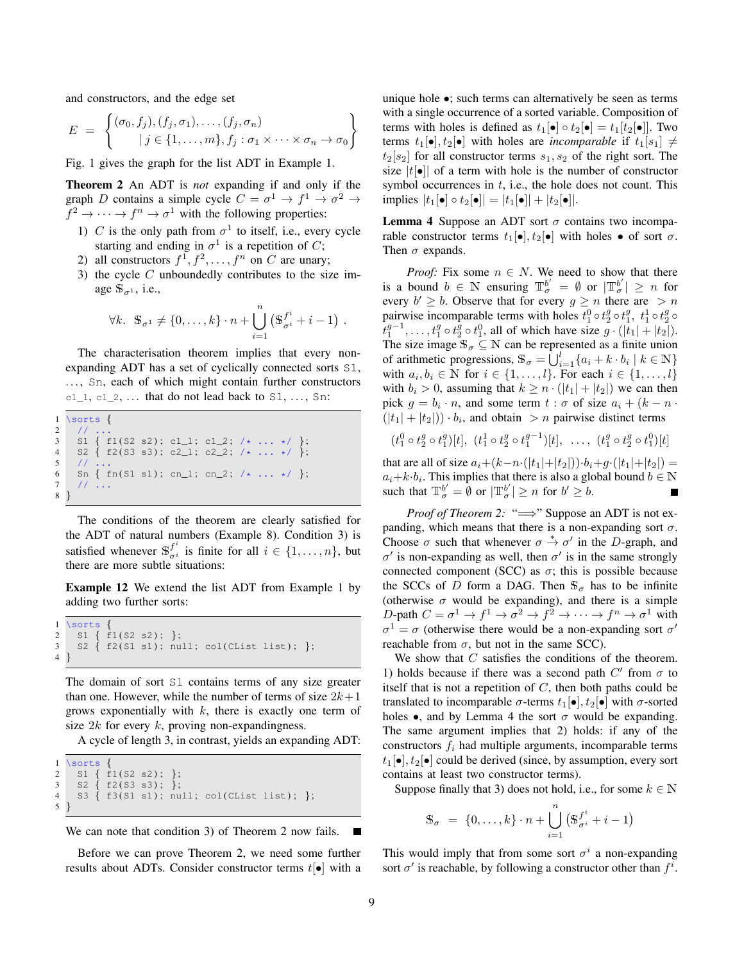and constructors, and the edge set

$$
E = \left\{ \begin{aligned} (\sigma_0, f_j), (f_j, \sigma_1), \dots, (f_j, \sigma_n) \\ |j \in \{1, \dots, m\}, f_j : \sigma_1 \times \dots \times \sigma_n \to \sigma_0 \end{aligned} \right\}
$$

<span id="page-8-0"></span>Fig. [1](#page-7-3) gives the graph for the list ADT in Example [1.](#page-1-1)

Theorem 2 An ADT is *not* expanding if and only if the graph D contains a simple cycle  $C = \sigma^1 \rightarrow f^1 \rightarrow \sigma^2 \rightarrow$  $f^2 \to \cdots \to f^n \to \sigma^1$  with the following properties:

- 1) C is the only path from  $\sigma^1$  to itself, i.e., every cycle starting and ending in  $\sigma^1$  is a repetition of C;
- 2) all constructors  $f^1, f^2, \ldots, f^n$  on C are unary;
- 3) the cycle  $C$  unboundedly contributes to the size image  $\mathbb{S}_{\sigma^1}$ , i.e.,

$$
\forall k. \ \mathbb{S}_{\sigma^1} \neq \{0,\ldots,k\} \cdot n + \bigcup_{i=1}^n \left(\mathbb{S}_{\sigma^i}^{f^i} + i - 1\right) \, .
$$

The characterisation theorem implies that every nonexpanding ADT has a set of cyclically connected sorts S1, ..., Sn, each of which might contain further constructors  $c1_1, c1_2, \ldots$  that do not lead back to S1, ..., Sn:

```
1 \sorts {
2 / /3 \quad S1 \{ f1(S2 s2); c1_1; c1_2; \# \ldots * \# \};4 S2 { f2(S3 s3); c2_1; c2_2; /* ... */ };<br>5 // ...
6 Sn { fn(S1 s1); cn_1; cn_2; /* ... */ };
7 / /8 }
```
The conditions of the theorem are clearly satisfied for the ADT of natural numbers (Example [8\)](#page-6-0). Condition 3) is satisfied whenever  $\mathbb{S}^{f^i}_{\sigma^i}$  $_{\sigma i}^J$  is finite for all  $i \in \{1, \ldots, n\}$ , but there are more subtle situations:

Example 12 We extend the list ADT from Example [1](#page-1-1) by adding two further sorts:

```
\begin{array}{c} 1 \\ 2 \end{array} \sorts {
2 S1 { f1(S2 s2) ; };
3 S2 { f2(S1 s1); null; col(CList list); };
4 }
```
The domain of sort S1 contains terms of any size greater than one. However, while the number of terms of size  $2k+1$ grows exponentially with  $k$ , there is exactly one term of size  $2k$  for every  $k$ , proving non-expandingness.

A cycle of length 3, in contrast, yields an expanding ADT:

```
1 \sorts {
2 S1 { f1(S2 s2) ; };
\begin{array}{cc} 3 & 52 \\ 4 & 53 \end{array} \begin{array}{cc} \text{f2}(53 \text{ s3}); \\ \text{f3}(51 \text{ s1}); \text{nu} \end{array}53 \{ f3(S1 s1); null; col(CList list); \}5 }
```

```
We can note that condition 3) of Theorem 2 now fails.
                                                        П
```
Before we can prove Theorem [2,](#page-8-0) we need some further results about ADTs. Consider constructor terms  $t[\bullet]$  with a unique hole •; such terms can alternatively be seen as terms with a single occurrence of a sorted variable. Composition of terms with holes is defined as  $t_1[\bullet] \circ t_2[\bullet] = t_1[t_2[\bullet]]$ . Two terms  $t_1[\bullet], t_2[\bullet]$  with holes are *incomparable* if  $t_1[s_1] \neq$  $t_2[s_2]$  for all constructor terms  $s_1, s_2$  of the right sort. The size  $|t[\bullet]|$  of a term with hole is the number of constructor symbol occurrences in  $t$ , i.e., the hole does not count. This implies  $|t_1[\bullet] \circ t_2[\bullet]| = |t_1[\bullet]| + |t_2[\bullet]|.$ 

<span id="page-8-1"></span>**Lemma 4** Suppose an ADT sort  $\sigma$  contains two incomparable constructor terms  $t_1[\bullet], t_2[\bullet]$  with holes  $\bullet$  of sort  $\sigma$ . Then  $\sigma$  expands.

*Proof:* Fix some  $n \in N$ . We need to show that there is a bound  $b \in \mathbb{N}$  ensuring  $\mathbb{T}^{b'}_{\sigma} = \emptyset$  or  $|\mathbb{T}^{b'}_{\sigma}| \geq n$  for every  $b' \geq b$ . Observe that for every  $g \geq n$  there are  $> n$ pairwise incomparable terms with holes  $t_1^0 \circ t_2^g \circ t_1^g$ ,  $t_1^1 \circ t_2^g \circ$  $\hat{t}_1^{g-1}, \ldots, t_1^g \circ t_2^{\bar{g}} \circ t_1^0$ , all of which have size  $g \cdot (|\vec{t}_1| + |\vec{t}_2|)$ . The size image  $\mathbb{S}_{\sigma} \subseteq \mathbb{N}$  can be represented as a finite union of arithmetic progressions,  $\mathbb{S}_{\sigma} = \bigcup_{i=1}^{l} \{a_i + k \cdot b_i \mid k \in \mathbb{N}\}\$ with  $a_i, b_i \in \mathbb{N}$  for  $i \in \{1, \ldots, l\}$ . For each  $i \in \{1, \ldots, l\}$ with  $b_i > 0$ , assuming that  $k \geq n \cdot (|t_1| + |t_2|)$  we can then pick  $g = b_i \cdot n$ , and some term  $t : \sigma$  of size  $a_i + (k - n \cdot \sigma)$  $(|t_1| + |t_2|) \cdot b_i$ , and obtain  $\gt n$  pairwise distinct terms

$$
(t_1^0 \circ t_2^g \circ t_1^g)[t], \ (t_1^1 \circ t_2^g \circ t_1^{g-1})[t], \ \ldots, \ (t_1^g \circ t_2^g \circ t_1^0)[t]
$$

that are all of size  $a_i+(k-n\cdot(|t_1|+|t_2|))\cdot b_i+g\cdot(|t_1|+|t_2|) =$  $a_i+k \cdot b_i$ . This implies that there is also a global bound  $b \in \mathbb{N}$ such that  $\mathbb{T}^{b'}_{\sigma} = \emptyset$  or  $|\mathbb{T}^{b'}_{\sigma}| \geq n$  for  $b' \geq b$ .

*Proof of Theorem [2:](#page-8-0)* "⇒" Suppose an ADT is not expanding, which means that there is a non-expanding sort  $\sigma$ . Choose  $\sigma$  such that whenever  $\sigma \stackrel{*}{\rightarrow} \sigma'$  in the D-graph, and  $\sigma'$  is non-expanding as well, then  $\sigma'$  is in the same strongly connected component (SCC) as  $\sigma$ ; this is possible because the SCCs of D form a DAG. Then  $\mathbb{S}_{\sigma}$  has to be infinite (otherwise  $\sigma$  would be expanding), and there is a simple D-path  $C = \sigma^1 \to f^1 \to \sigma^2 \to f^2 \to \cdots \to f^n \to \sigma^1$  with  $\sigma^1 = \sigma$  (otherwise there would be a non-expanding sort  $\sigma'$ reachable from  $\sigma$ , but not in the same SCC).

We show that  $C$  satisfies the conditions of the theorem. 1) holds because if there was a second path  $C'$  from  $\sigma$  to itself that is not a repetition of  $C$ , then both paths could be translated to incomparable  $\sigma$ -terms  $t_1[\bullet], t_2[\bullet]$  with  $\sigma$ -sorted holes •, and by Lemma [4](#page-8-1) the sort  $\sigma$  would be expanding. The same argument implies that 2) holds: if any of the constructors  $f_i$  had multiple arguments, incomparable terms  $t_1[\bullet], t_2[\bullet]$  could be derived (since, by assumption, every sort contains at least two constructor terms).

Suppose finally that 3) does not hold, i.e., for some  $k \in \mathbb{N}$ 

$$
\mathbb{S}_{\sigma} = \{0, \ldots, k\} \cdot n + \bigcup_{i=1}^{n} \left(\mathbb{S}_{\sigma^{i}}^{f^{i}} + i - 1\right)
$$

This would imply that from some sort  $\sigma^i$  a non-expanding sort  $\sigma'$  is reachable, by following a constructor other than  $f^i$ .